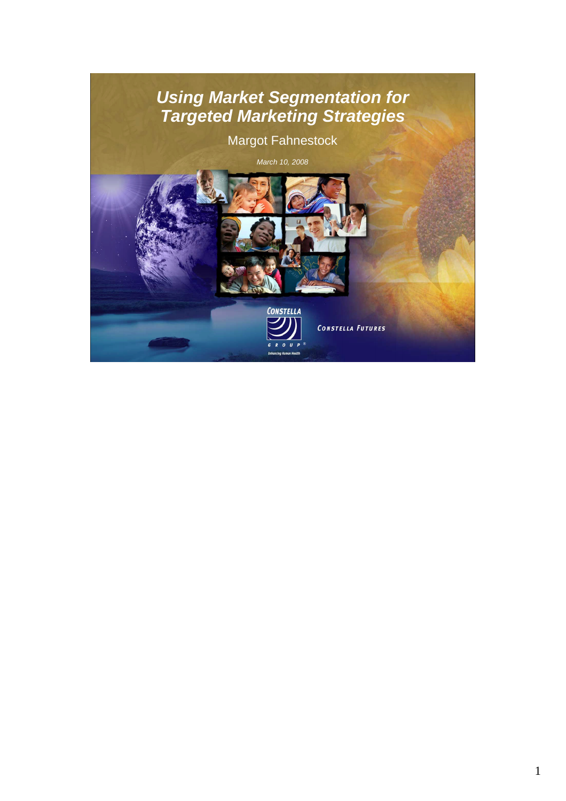### *Using Market Segmentation for Targeted Marketing Strategies*

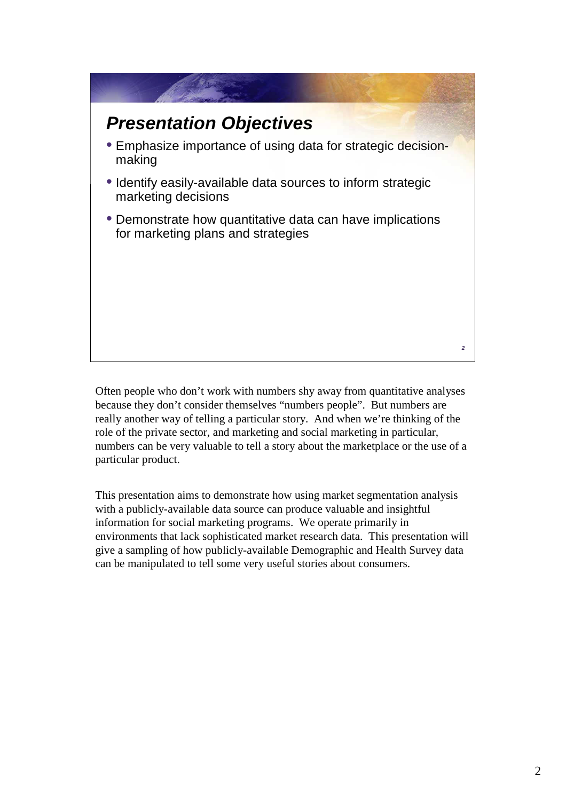## *Presentation Objectives*

- Emphasize importance of using data for strategic decisionmaking
- Identify easily-available data sources to inform strategic marketing decisions
- Demonstrate how quantitative data can have implications for marketing plans and strategies

Often people who don't work with numbers shy away from quantitative analyses because they don't consider themselves "numbers people". But numbers are really another way of telling a particular story. And when we're thinking of the role of the private sector, and marketing and social marketing in particular, numbers can be very valuable to tell a story about the marketplace or the use of a particular product.

This presentation aims to demonstrate how using market segmentation analysis with a publicly-available data source can produce valuable and insightful information for social marketing programs. We operate primarily in environments that lack sophisticated market research data. This presentation will give a sampling of how publicly-available Demographic and Health Survey data can be manipulated to tell some very useful stories about consumers.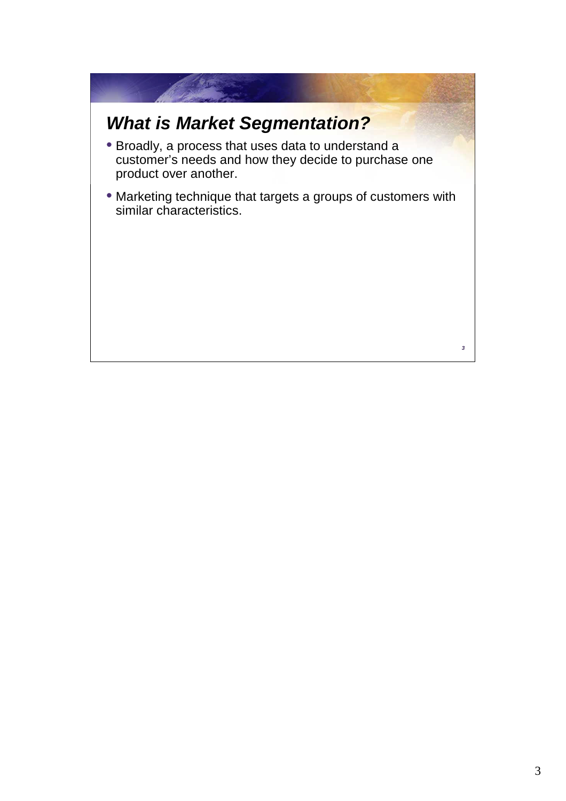# *What is Market Segmentation?*

- Broadly, a process that uses data to understand a customer's needs and how they decide to purchase one product over another.
- Marketing technique that targets a groups of customers with similar characteristics.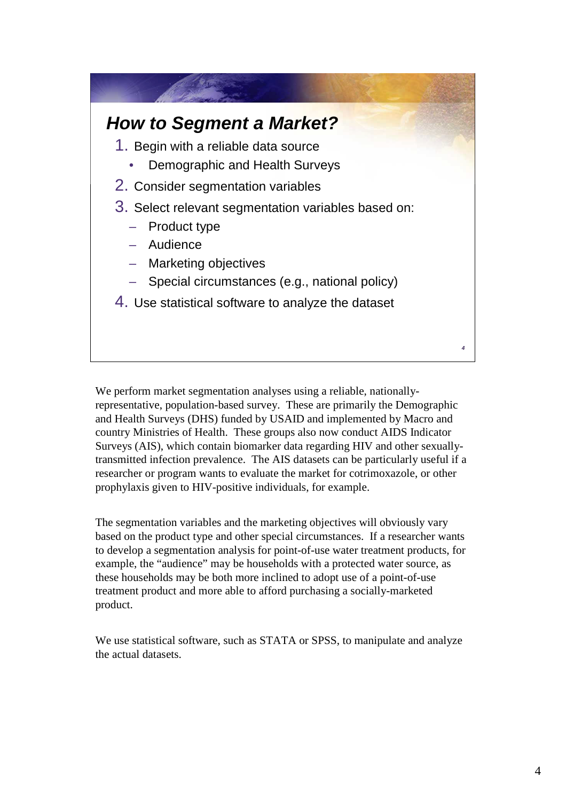### *How to Segment a Market?*

- 1. Begin with a reliable data source
	- Demographic and Health Surveys
- 2. Consider segmentation variables
- 3. Select relevant segmentation variables based on:
	- Product type
	- Audience
	- Marketing objectives
	- Special circumstances (e.g., national policy)
- 4. Use statistical software to analyze the dataset

We perform market segmentation analyses using a reliable, nationallyrepresentative, population-based survey. These are primarily the Demographic and Health Surveys (DHS) funded by USAID and implemented by Macro and country Ministries of Health. These groups also now conduct AIDS Indicator Surveys (AIS), which contain biomarker data regarding HIV and other sexuallytransmitted infection prevalence. The AIS datasets can be particularly useful if a researcher or program wants to evaluate the market for cotrimoxazole, or other prophylaxis given to HIV-positive individuals, for example.

The segmentation variables and the marketing objectives will obviously vary based on the product type and other special circumstances. If a researcher wants to develop a segmentation analysis for point-of-use water treatment products, for example, the "audience" may be households with a protected water source, as these households may be both more inclined to adopt use of a point-of-use treatment product and more able to afford purchasing a socially-marketed product.

We use statistical software, such as STATA or SPSS, to manipulate and analyze the actual datasets.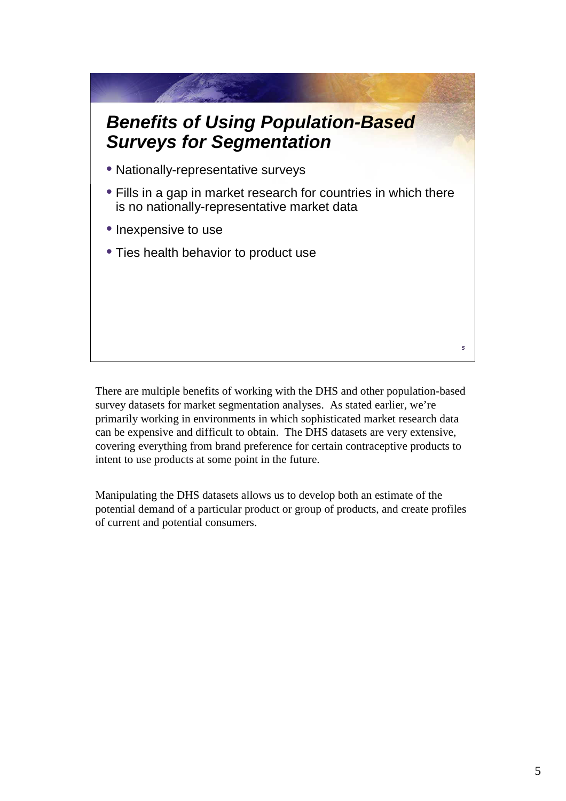### *Benefits of Using Population-Based Surveys for Segmentation*

- Nationally-representative surveys
- Fills in a gap in market research for countries in which there is no nationally-representative market data
- Inexpensive to use
- Ties health behavior to product use

There are multiple benefits of working with the DHS and other population-based survey datasets for market segmentation analyses. As stated earlier, we're primarily working in environments in which sophisticated market research data can be expensive and difficult to obtain. The DHS datasets are very extensive, covering everything from brand preference for certain contraceptive products to intent to use products at some point in the future.

Manipulating the DHS datasets allows us to develop both an estimate of the potential demand of a particular product or group of products, and create profiles of current and potential consumers.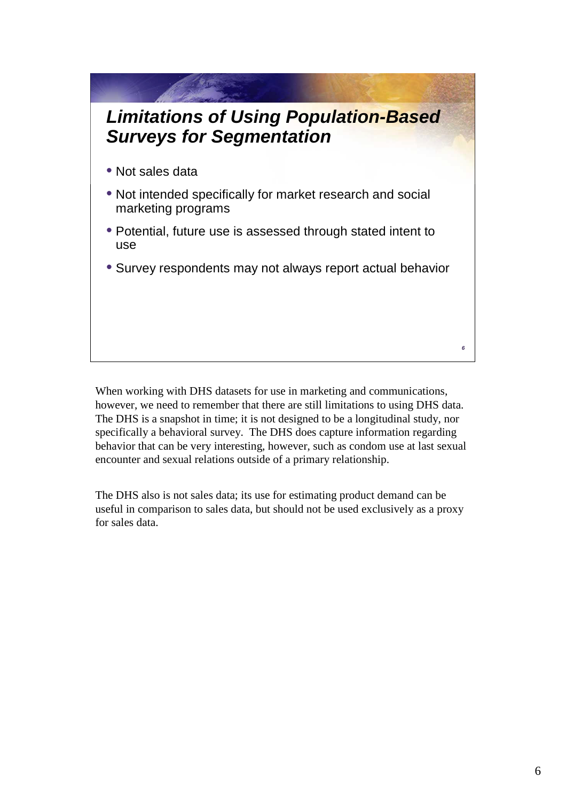# *Limitations of Using Population-Based Surveys for Segmentation*

- Not sales data
- Not intended specifically for market research and social marketing programs
- Potential, future use is assessed through stated intent to use
- Survey respondents may not always report actual behavior

When working with DHS datasets for use in marketing and communications, however, we need to remember that there are still limitations to using DHS data. The DHS is a snapshot in time; it is not designed to be a longitudinal study, nor specifically a behavioral survey. The DHS does capture information regarding behavior that can be very interesting, however, such as condom use at last sexual encounter and sexual relations outside of a primary relationship.

The DHS also is not sales data; its use for estimating product demand can be useful in comparison to sales data, but should not be used exclusively as a proxy for sales data.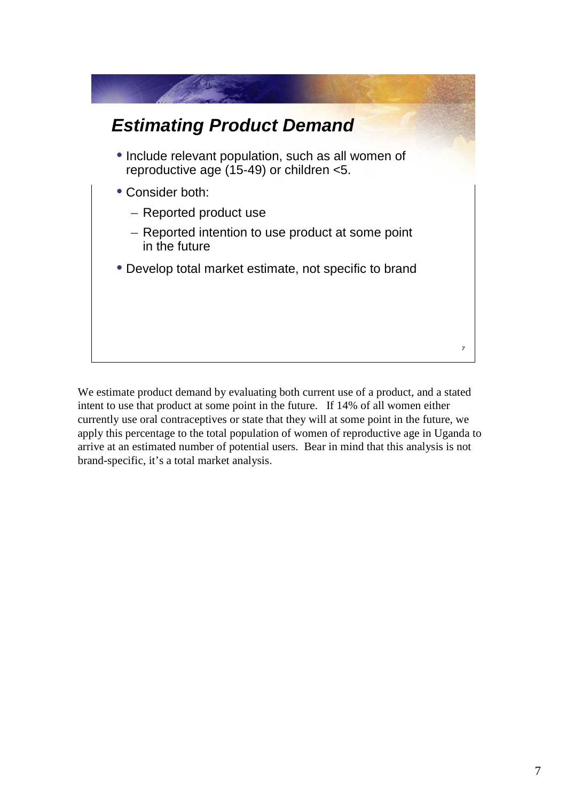

We estimate product demand by evaluating both current use of a product, and a stated intent to use that product at some point in the future. If 14% of all women either currently use oral contraceptives or state that they will at some point in the future, we apply this percentage to the total population of women of reproductive age in Uganda to arrive at an estimated number of potential users. Bear in mind that this analysis is not brand-specific, it's a total market analysis.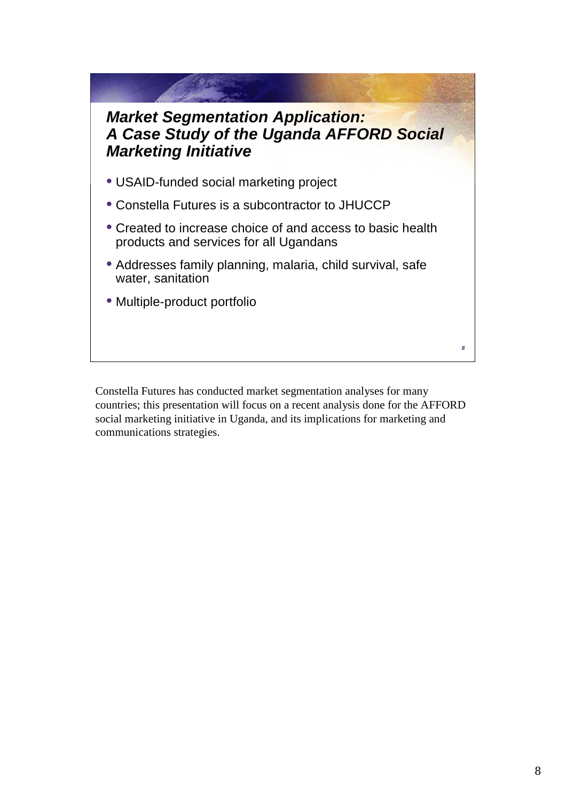#### *Market Segmentation Application: A Case Study of the Uganda AFFORD Social Marketing Initiative*

- USAID-funded social marketing project
- Constella Futures is a subcontractor to JHUCCP
- Created to increase choice of and access to basic health products and services for all Ugandans
- Addresses family planning, malaria, child survival, safe water, sanitation
- Multiple-product portfolio

Constella Futures has conducted market segmentation analyses for many countries; this presentation will focus on a recent analysis done for the AFFORD social marketing initiative in Uganda, and its implications for marketing and communications strategies.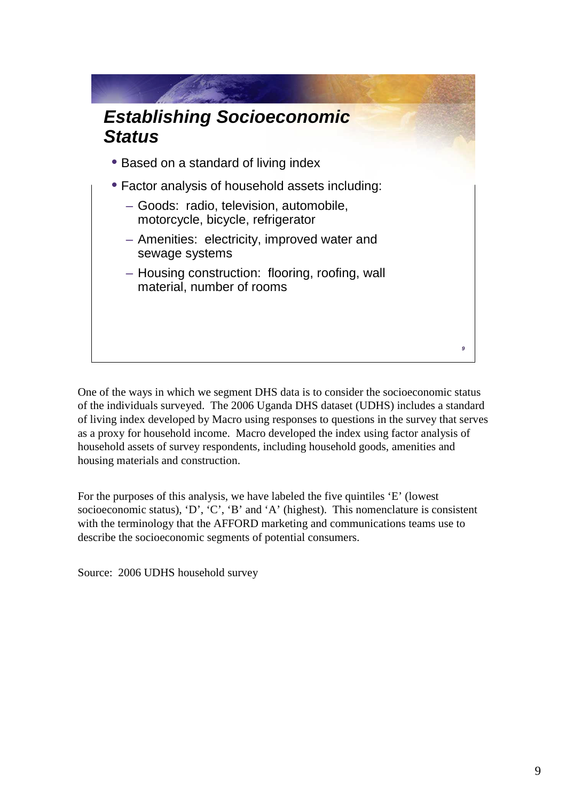

One of the ways in which we segment DHS data is to consider the socioeconomic status of the individuals surveyed. The 2006 Uganda DHS dataset (UDHS) includes a standard of living index developed by Macro using responses to questions in the survey that serves as a proxy for household income. Macro developed the index using factor analysis of household assets of survey respondents, including household goods, amenities and housing materials and construction.

For the purposes of this analysis, we have labeled the five quintiles 'E' (lowest socioeconomic status), 'D', 'C', 'B' and 'A' (highest). This nomenclature is consistent with the terminology that the AFFORD marketing and communications teams use to describe the socioeconomic segments of potential consumers.

Source: 2006 UDHS household survey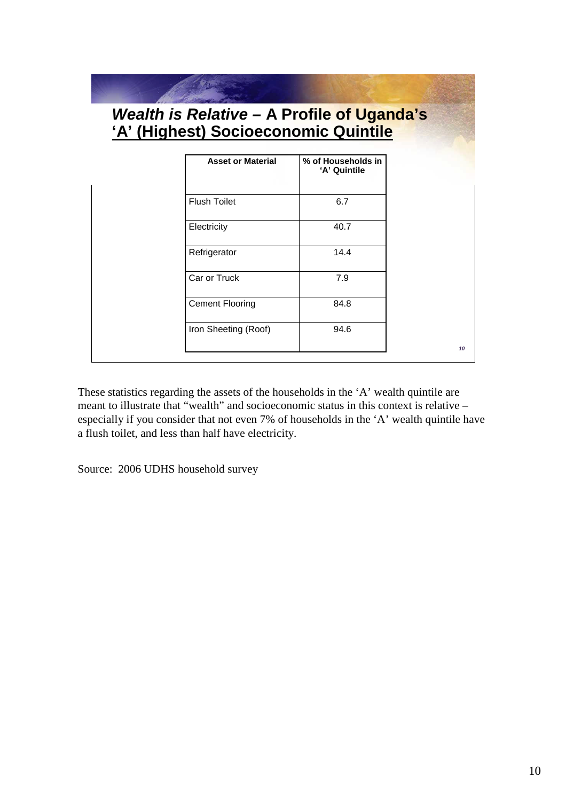| <b>Asset or Material</b> | % of Households in<br>'A' Quintile |
|--------------------------|------------------------------------|
|                          |                                    |
| <b>Flush Toilet</b>      | 6.7                                |
| Electricity              | 40.7                               |
| Refrigerator             | 14.4                               |
| Car or Truck             | 7.9                                |
| <b>Cement Flooring</b>   | 84.8                               |
| Iron Sheeting (Roof)     | 94.6                               |

These statistics regarding the assets of the households in the 'A' wealth quintile are meant to illustrate that "wealth" and socioeconomic status in this context is relative – especially if you consider that not even 7% of households in the 'A' wealth quintile have a flush toilet, and less than half have electricity.

Source: 2006 UDHS household survey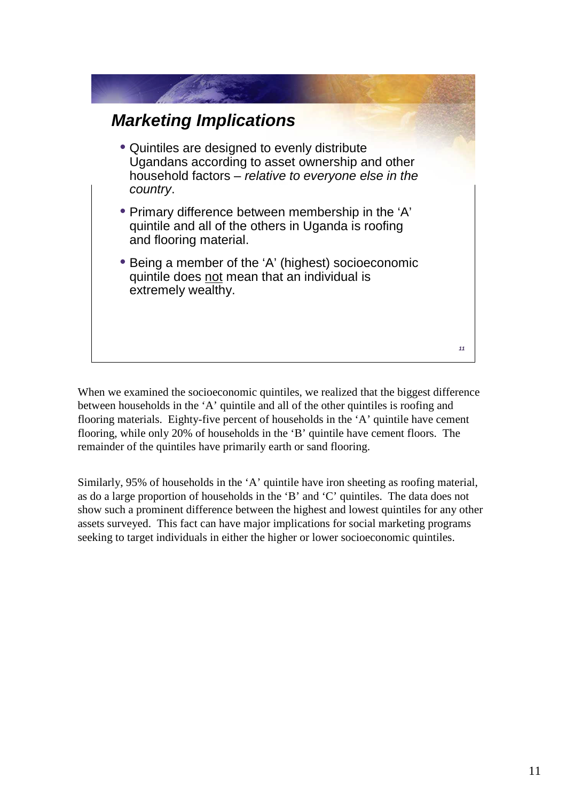

When we examined the socioeconomic quintiles, we realized that the biggest difference between households in the 'A' quintile and all of the other quintiles is roofing and flooring materials. Eighty-five percent of households in the 'A' quintile have cement flooring, while only 20% of households in the 'B' quintile have cement floors. The remainder of the quintiles have primarily earth or sand flooring.

Similarly, 95% of households in the 'A' quintile have iron sheeting as roofing material, as do a large proportion of households in the 'B' and 'C' quintiles. The data does not show such a prominent difference between the highest and lowest quintiles for any other assets surveyed. This fact can have major implications for social marketing programs seeking to target individuals in either the higher or lower socioeconomic quintiles.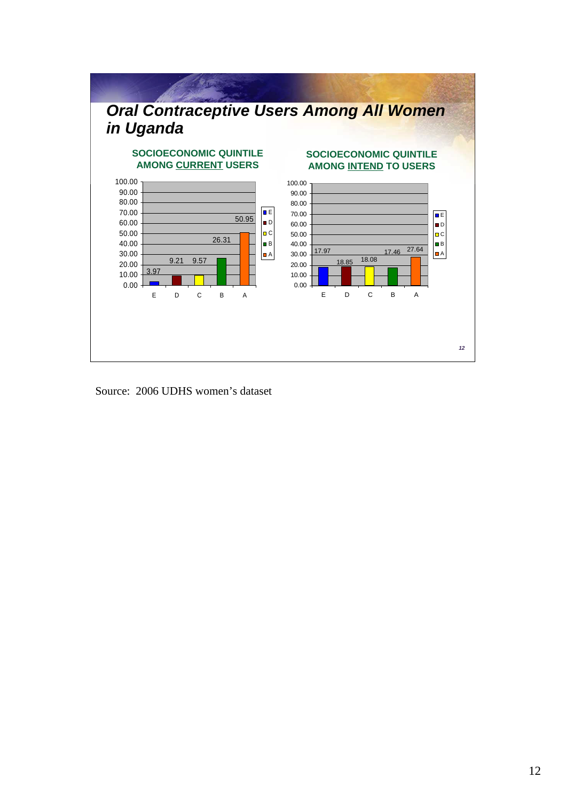

Source: 2006 UDHS women's dataset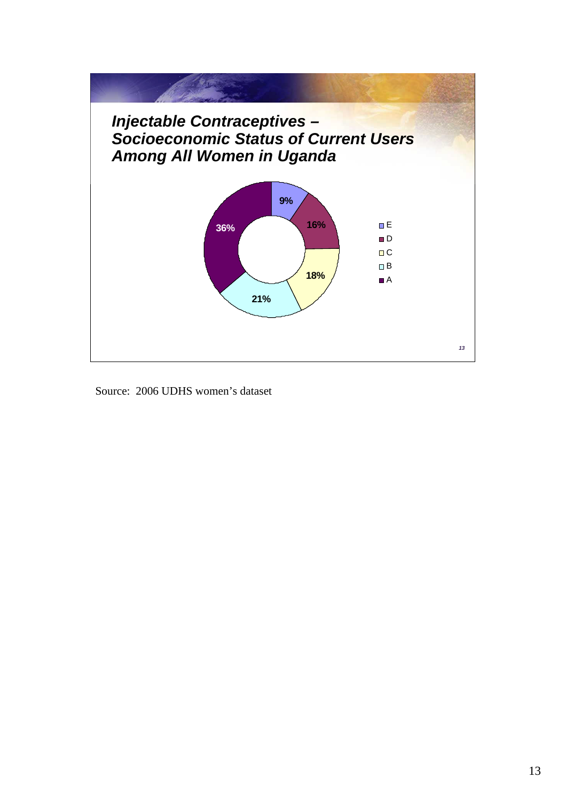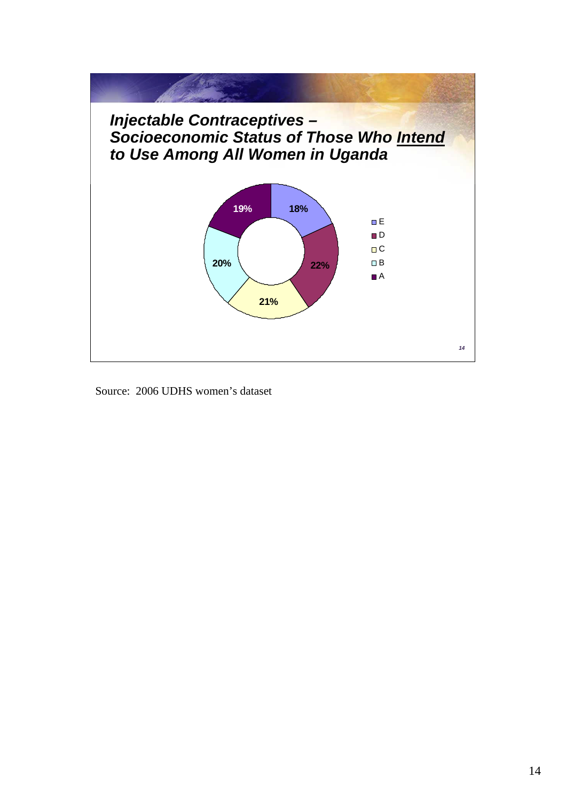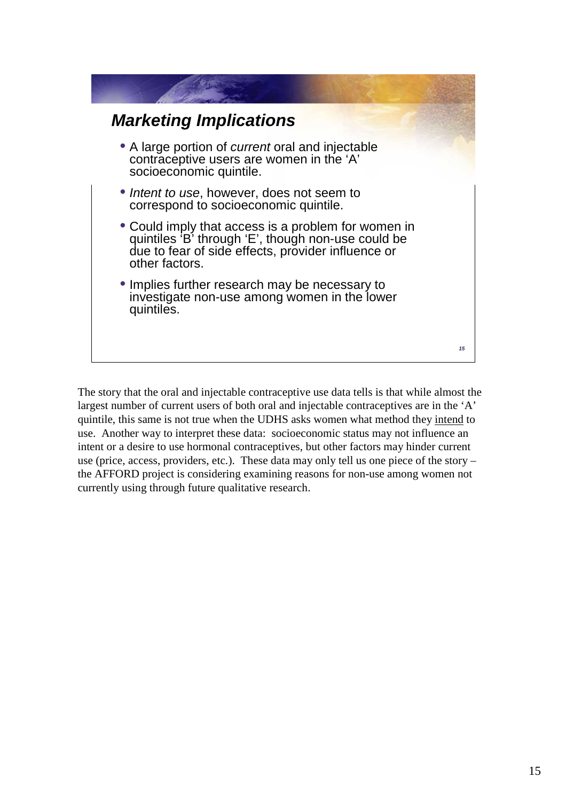

The story that the oral and injectable contraceptive use data tells is that while almost the largest number of current users of both oral and injectable contraceptives are in the 'A' quintile, this same is not true when the UDHS asks women what method they intend to use. Another way to interpret these data: socioeconomic status may not influence an intent or a desire to use hormonal contraceptives, but other factors may hinder current use (price, access, providers, etc.). These data may only tell us one piece of the story – the AFFORD project is considering examining reasons for non-use among women not currently using through future qualitative research.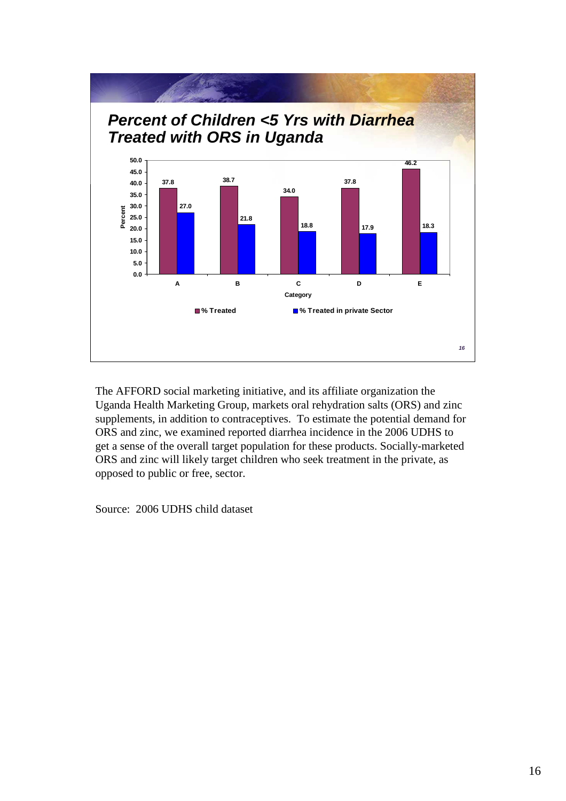

The AFFORD social marketing initiative, and its affiliate organization the Uganda Health Marketing Group, markets oral rehydration salts (ORS) and zinc supplements, in addition to contraceptives. To estimate the potential demand for ORS and zinc, we examined reported diarrhea incidence in the 2006 UDHS to get a sense of the overall target population for these products. Socially-marketed ORS and zinc will likely target children who seek treatment in the private, as opposed to public or free, sector.

Source: 2006 UDHS child dataset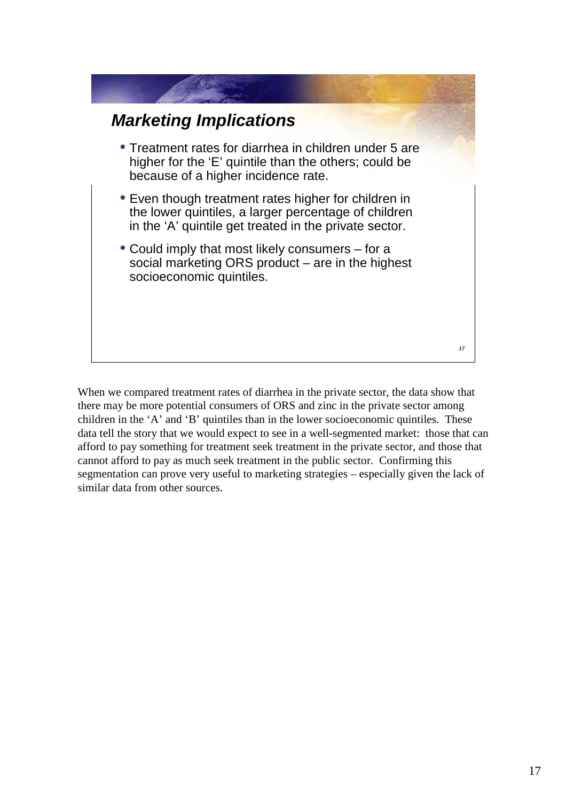

When we compared treatment rates of diarrhea in the private sector, the data show that there may be more potential consumers of ORS and zinc in the private sector among children in the 'A' and 'B' quintiles than in the lower socioeconomic quintiles. These data tell the story that we would expect to see in a well-segmented market: those that can afford to pay something for treatment seek treatment in the private sector, and those that cannot afford to pay as much seek treatment in the public sector. Confirming this segmentation can prove very useful to marketing strategies – especially given the lack of similar data from other sources.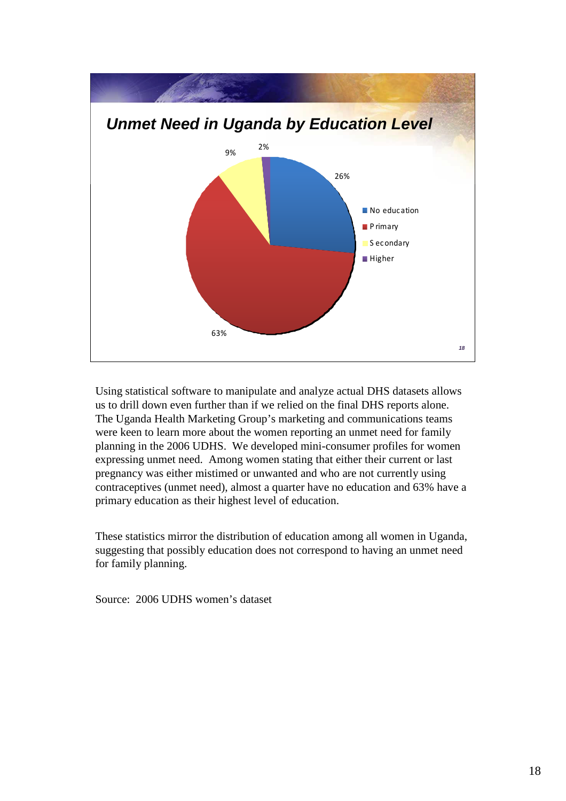

Using statistical software to manipulate and analyze actual DHS datasets allows us to drill down even further than if we relied on the final DHS reports alone. The Uganda Health Marketing Group's marketing and communications teams were keen to learn more about the women reporting an unmet need for family planning in the 2006 UDHS. We developed mini-consumer profiles for women expressing unmet need. Among women stating that either their current or last pregnancy was either mistimed or unwanted and who are not currently using contraceptives (unmet need), almost a quarter have no education and 63% have a primary education as their highest level of education.

These statistics mirror the distribution of education among all women in Uganda, suggesting that possibly education does not correspond to having an unmet need for family planning.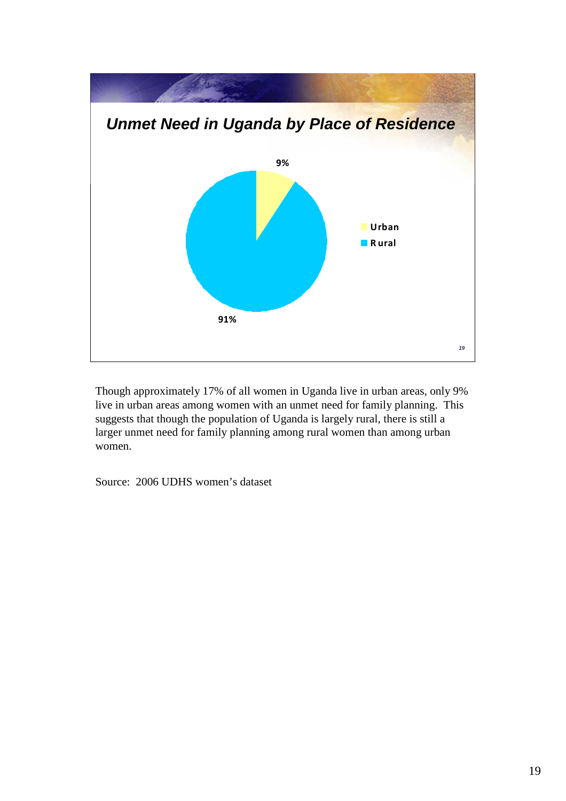

Though approximately 17% of all women in Uganda live in urban areas, only 9% live in urban areas among women with an unmet need for family planning. This suggests that though the population of Uganda is largely rural, there is still a larger unmet need for family planning among rural women than among urban women.